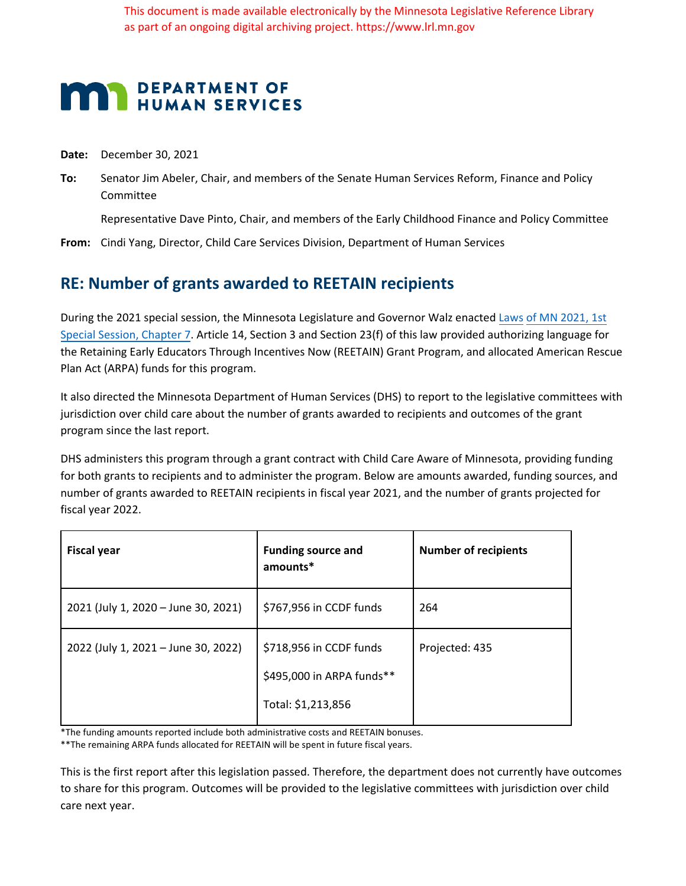This document is made available electronically by the Minnesota Legislative Reference Library as part of an ongoing digital archiving project. https://www.lrl.mn.gov

## **MAN DEPARTMENT OF HUMAN SERVICES**

**Date:** December 30, 2021

**To:** Senator Jim Abeler, Chair, and members of the Senate Human Services Reform, Finance and Policy Committee

Representative Dave Pinto, Chair, and members of the Early Childhood Finance and Policy Committee

**From:** Cindi Yang, Director, Child Care Services Division, Department of Human Services

## **RE: Number of grants awarded to REETAIN recipients**

During the 2021 special session, the Minnesota Legislature and Governor Walz enacted Laws of MN 2021, 1st Special Session, Chapter 7. Article 14, Section 3 and Section 23(f) of this law provided authorizing language for the Retaining Early Educators Through Incentives Now (REETAIN) Grant Program, and allocated American Rescue Plan Act (ARPA) funds for this program.

It also directed the Minnesota Department of Human Services (DHS) to report to the legislative committees with jurisdiction over child care about the number of grants awarded to recipients and outcomes of the grant program since the last report.

DHS administers this program through a grant contract with Child Care Aware of Minnesota, providing funding for both grants to recipients and to administer the program. Below are amounts awarded, funding sources, and number of grants awarded to REETAIN recipients in fiscal year 2021, and the number of grants projected for fiscal year 2022.

| <b>Fiscal year</b>                  | <b>Funding source and</b><br>amounts*                | <b>Number of recipients</b> |
|-------------------------------------|------------------------------------------------------|-----------------------------|
| 2021 (July 1, 2020 - June 30, 2021) | \$767,956 in CCDF funds                              | 264                         |
| 2022 (July 1, 2021 - June 30, 2022) | \$718,956 in CCDF funds<br>\$495,000 in ARPA funds** | Projected: 435              |
|                                     | Total: \$1,213,856                                   |                             |

\*The funding amounts reported include both administrative costs and REETAIN bonuses.

\*\*The remaining ARPA funds allocated for REETAIN will be spent in future fiscal years.

This is the first report after this legislation passed. Therefore, the department does not currently have outcomes to share for this program. Outcomes will be provided to the legislative committees with jurisdiction over child care next year.